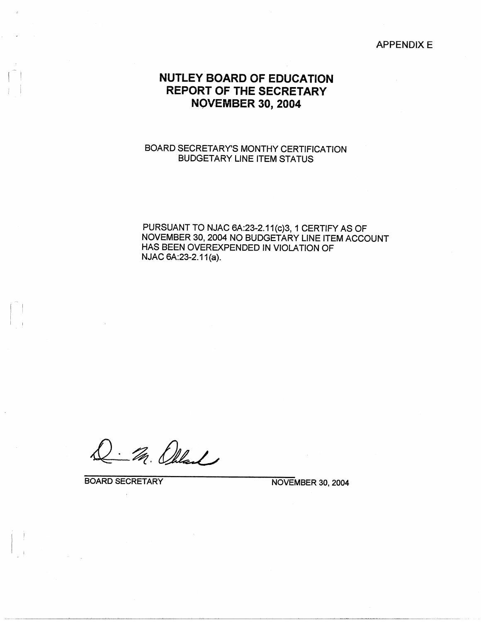**APPENDIXE** 

## **NUTLEY BOARD OF EDUCATION REPORT OF THE SECRETARY NOVEMBER 30, 2004**

## BOARD SECRETARY'S MONTHY CERTIFICATION BUDGETARY LINE ITEM STATUS

PURSUANT TO NJAC 6A:23-2.11(c)3, 1 CERTIFY AS OF NOVEMBER 30, 2004 NO BUDGETARY LINE ITEM ACCOUNT HAS BEEN OVEREXPENDED IN VIOLATION OF NJAC 6A:23-2.11(a).

. M. Olland

BOARD SECRETARY NOVEMBER 30, 2004

 $\blacksquare$ 

 $\mathbf{I} = \mathbf{I}$ 

 $\Gamma_{\rm eff}$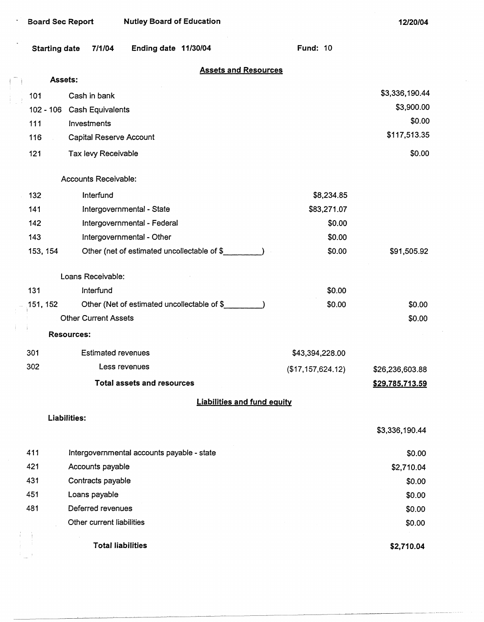**12/20/04** 

 $\mathcal{L}_{\mathcal{L}}$ 

|                                    | <b>Starting date</b>                          | Ending date 11/30/04<br>7/1/04              | <b>Fund: 10</b>   |                 |  |
|------------------------------------|-----------------------------------------------|---------------------------------------------|-------------------|-----------------|--|
|                                    | <b>Assets and Resources</b><br><b>Assets:</b> |                                             |                   |                 |  |
|                                    |                                               |                                             |                   | \$3,336,190.44  |  |
|                                    | 101<br>$102 - 106$                            | Cash in bank                                |                   | \$3,900.00      |  |
|                                    | 111                                           | <b>Cash Equivalents</b><br>Investments      |                   | \$0.00          |  |
|                                    | 116                                           | Capital Reserve Account                     |                   | \$117,513.35    |  |
|                                    | 121                                           | Tax levy Receivable                         |                   | \$0.00          |  |
|                                    |                                               |                                             |                   |                 |  |
|                                    |                                               | Accounts Receivable:                        |                   |                 |  |
|                                    | 132                                           | Interfund                                   | \$8,234.85        |                 |  |
|                                    | 141                                           | Intergovernmental - State                   | \$83,271.07       |                 |  |
|                                    | 142                                           | Intergovernmental - Federal                 | \$0.00            |                 |  |
|                                    | 143                                           | Intergovernmental - Other                   | \$0.00            |                 |  |
|                                    | 153, 154                                      | Other (net of estimated uncollectable of \$ | \$0.00            | \$91,505.92     |  |
|                                    |                                               | Loans Receivable:                           |                   |                 |  |
|                                    | 131                                           | Interfund                                   | \$0.00            |                 |  |
|                                    | 151, 152                                      | Other (Net of estimated uncollectable of \$ | \$0.00            | \$0.00          |  |
|                                    |                                               | <b>Other Current Assets</b>                 |                   | \$0.00          |  |
|                                    |                                               | <b>Resources:</b>                           |                   |                 |  |
|                                    | 301                                           | <b>Estimated revenues</b>                   | \$43,394,228.00   |                 |  |
|                                    | 302                                           | Less revenues                               | (\$17,157,624.12) | \$26,236,603.88 |  |
|                                    |                                               | <b>Total assets and resources</b>           |                   | \$29,785,713.59 |  |
| <b>Liabilities and fund equity</b> |                                               |                                             |                   |                 |  |
|                                    |                                               | Liabilities:                                |                   | \$3,336,190.44  |  |
|                                    | 411                                           | Intergovernmental accounts payable - state  |                   | \$0.00          |  |
|                                    | 421                                           | Accounts payable                            |                   | \$2,710.04      |  |
|                                    | 431                                           | Contracts payable                           |                   | \$0.00          |  |
|                                    | 451                                           | Loans payable                               |                   | \$0.00          |  |
|                                    | 481                                           | Deferred revenues                           |                   | \$0.00          |  |
|                                    |                                               | Other current liabilities                   |                   | \$0.00          |  |
|                                    |                                               | <b>Total liabilities</b>                    |                   | \$2,710.04      |  |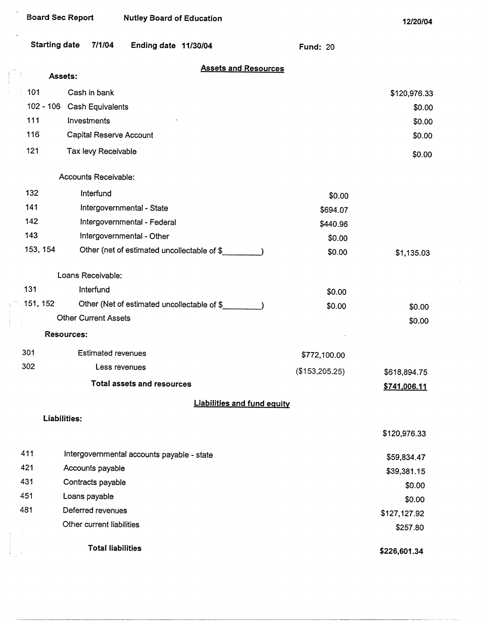$\bar{u}$ 

| <b>Starting date</b>                   | 7/1/04<br>Ending date 11/30/04              | <b>Fund: 20</b>                |        |  |  |
|----------------------------------------|---------------------------------------------|--------------------------------|--------|--|--|
| <b>Assets and Resources</b><br>Assets: |                                             |                                |        |  |  |
| 101                                    | Cash in bank                                | \$120,976.33                   |        |  |  |
|                                        | 102 - 106 Cash Equivalents                  |                                | \$0.00 |  |  |
| 111                                    | Investments                                 |                                | \$0.00 |  |  |
| 116                                    | Capital Reserve Account                     |                                | \$0.00 |  |  |
| 121                                    | Tax levy Receivable                         |                                | \$0.00 |  |  |
|                                        | Accounts Receivable:                        |                                |        |  |  |
| 132                                    | Interfund                                   | \$0.00                         |        |  |  |
| 141.                                   | Intergovernmental - State                   | \$694.07                       |        |  |  |
| 142                                    | Intergovernmental - Federal                 | \$440.96                       |        |  |  |
| 143                                    | Intergovernmental - Other                   | \$0.00                         |        |  |  |
| 153, 154                               | Other (net of estimated uncollectable of \$ | \$0.00<br>\$1,135.03           |        |  |  |
|                                        | Loans Receivable:                           |                                |        |  |  |
| 131                                    | Interfund                                   | \$0.00                         |        |  |  |
| 151, 152                               | Other (Net of estimated uncollectable of \$ | \$0.00                         | \$0.00 |  |  |
|                                        | <b>Other Current Assets</b>                 |                                | \$0.00 |  |  |
|                                        | <b>Resources:</b>                           |                                |        |  |  |
| 301                                    | <b>Estimated revenues</b>                   | \$772,100.00                   |        |  |  |
| 302                                    | Less revenues                               | (\$153,205.25)<br>\$618,894.75 |        |  |  |
|                                        | <b>Total assets and resources</b>           | \$741,006.11                   |        |  |  |
|                                        | <b>Liabilities and fund equity</b>          |                                |        |  |  |
| Liabilities:                           |                                             |                                |        |  |  |
|                                        |                                             | \$120,976.33                   |        |  |  |
| 411                                    | Intergovernmental accounts payable - state  | \$59,834.47                    |        |  |  |
| 421                                    | Accounts payable                            | \$39,381.15                    |        |  |  |
| 431                                    | Contracts payable                           | \$0.00                         |        |  |  |
| 451                                    | Loans payable                               | \$0.00                         |        |  |  |
| 481                                    | Deferred revenues                           | \$127,127.92                   |        |  |  |
|                                        | Other current liabilities                   | \$257.80                       |        |  |  |

**Total liabilities** 

**\$226,601.34**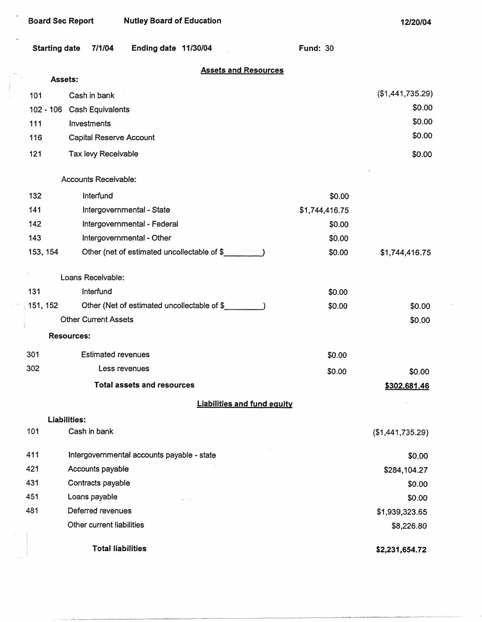$\mathbf{u}$ 

 $\mathbb{R}^n$  $\mathbf{r}$ 

| Starting date | 7/1/04 | Ending date 11/30/04 |  |  |
|---------------|--------|----------------------|--|--|
|---------------|--------|----------------------|--|--|

Fund: 30

## **Assets and Resources**

|           | Assets:                                     |                |                  |
|-----------|---------------------------------------------|----------------|------------------|
| 101       | Cash in bank                                |                | (\$1,441,735.29) |
| 102 - 106 | <b>Cash Equivalents</b>                     |                | \$0.00           |
| 111       | Investments                                 |                | \$0.00           |
| 116       | Capital Reserve Account                     |                | \$0.00           |
| 121       | Tax levy Receivable                         |                | \$0.00           |
|           | Accounts Receivable:                        |                |                  |
| 132       | Interfund                                   | \$0.00         |                  |
| 141       | Intergovernmental - State                   | \$1,744,416.75 |                  |
| 142       | Intergovernmental - Federal                 | \$0.00         |                  |
| 143       | Intergovernmental - Other                   | \$0.00         |                  |
| 153, 154  | Other (net of estimated uncollectable of \$ | \$0.00         | \$1,744,416.75   |
|           | Loans Receivable:                           |                |                  |
| 131       | Interfund                                   | \$0.00         |                  |
| 151, 152  | Other (Net of estimated uncollectable of \$ | \$0.00         | \$0.00           |
|           | <b>Other Current Assets</b>                 |                | \$0.00           |
|           | <b>Resources:</b>                           |                |                  |
| 301       | <b>Estimated revenues</b>                   | \$0.00         |                  |
| 302       | Less revenues                               | \$0.00         | \$0.00           |
|           | <b>Total assets and resources</b>           |                | \$302,681.46     |
|           | <b>Liabilities and fund equity</b>          |                |                  |
|           | Liabilities:                                |                |                  |
| 101       | Cash in bank                                |                | (\$1,441,735.29) |
| 411       | Intergovernmental accounts payable - state  |                | \$0.00           |
| 421       | Accounts payable                            |                | \$284,104.27     |
| 431       | Contracts payable                           |                | \$0.00           |
| 451       | Loans payable                               |                | \$0.00           |
| 481       | Deferred revenues                           |                | \$1,939,323.65   |
|           | Other current liabilities                   |                | \$8,226.80       |
|           | <b>Total liabilities</b>                    |                | \$2,231,654.72   |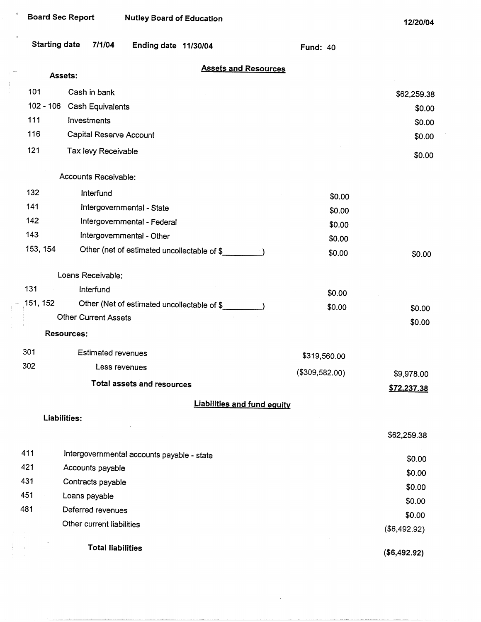$\mathbf{d}$ 

 $\mathcal{V}$ 

 $\frac{1}{2}$ 

 $\frac{1}{3}$ 

| <b>Starting date</b> | 7/1/04                      | Ending date 11/30/04                        | <b>Fund: 40</b> |              |
|----------------------|-----------------------------|---------------------------------------------|-----------------|--------------|
|                      | Assets:                     | <b>Assets and Resources</b>                 |                 |              |
| 101                  | Cash in bank                |                                             |                 | \$62,259.38  |
|                      | 102 - 106 Cash Equivalents  |                                             |                 | \$0.00       |
| 111                  | Investments                 |                                             |                 | \$0.00       |
| 116                  | Capital Reserve Account     |                                             |                 | \$0.00       |
| 121                  | Tax levy Receivable         |                                             |                 | \$0.00       |
|                      | Accounts Receivable:        |                                             |                 |              |
| 132                  | Interfund                   |                                             | \$0.00          |              |
| 141                  |                             | Intergovernmental - State                   | \$0.00          |              |
| 142                  |                             | Intergovernmental - Federal                 | \$0.00          |              |
| 143                  |                             | Intergovernmental - Other                   | \$0.00          |              |
| 153, 154             |                             | Other (net of estimated uncollectable of \$ | \$0.00          | \$0.00       |
|                      | Loans Receivable:           |                                             |                 |              |
| 131                  | Interfund                   |                                             | \$0.00          |              |
| 151, 152             |                             | Other (Net of estimated uncollectable of \$ | \$0.00          | \$0.00       |
|                      | <b>Other Current Assets</b> |                                             |                 | \$0.00       |
|                      | <b>Resources:</b>           |                                             |                 |              |
| 301                  | <b>Estimated revenues</b>   |                                             | \$319,560.00    |              |
| 302                  | Less revenues               |                                             | (\$309,582.00)  | \$9,978.00   |
|                      |                             | <b>Total assets and resources</b>           |                 | \$72,237.38  |
|                      |                             | <b>Liabilities and fund equity</b>          |                 |              |
|                      | Liabilities:                |                                             |                 |              |
|                      |                             |                                             |                 | \$62,259.38  |
|                      |                             |                                             |                 |              |
| 411                  |                             | Intergovernmental accounts payable - state  |                 | \$0.00       |
| 421                  | Accounts payable            |                                             |                 | \$0.00       |
| 431                  | Contracts payable           |                                             |                 | \$0.00       |
| 451                  | Loans payable               |                                             |                 | \$0.00       |
| 481                  | Deferred revenues           |                                             |                 | \$0.00       |
|                      | Other current liabilities   |                                             |                 | (\$6,492.92) |
|                      |                             |                                             |                 |              |

**Total liabilities** 

**(\$6,492.92)**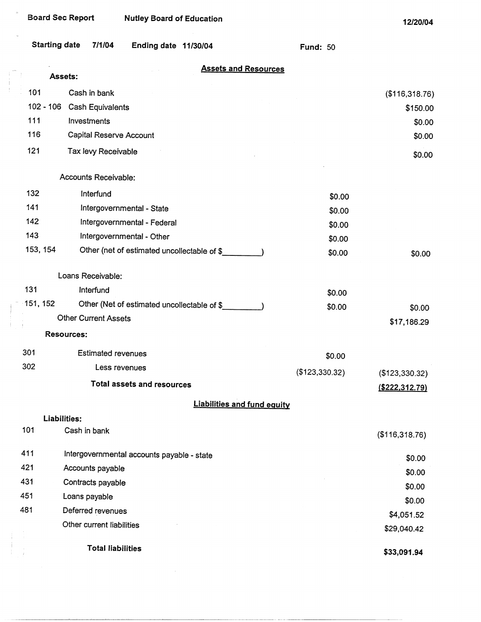$\bar{\alpha}$ 

Ĵ.

Ĵ

Ĵ.  $\bar{1}$ 

| <b>Starting date</b> | 7/1/04<br>Ending date 11/30/04                | <b>Fund: 50</b> |                    |
|----------------------|-----------------------------------------------|-----------------|--------------------|
|                      | <b>Assets and Resources</b><br><b>Assets:</b> |                 |                    |
| 101                  | Cash in bank                                  |                 |                    |
|                      | 102 - 106 Cash Equivalents                    |                 | (\$116,318.76)     |
| 111                  | Investments                                   |                 | \$150.00<br>\$0.00 |
| 116                  | Capital Reserve Account                       |                 | \$0.00             |
| 121                  | Tax levy Receivable                           |                 |                    |
|                      |                                               |                 | \$0.00             |
|                      | Accounts Receivable:                          |                 |                    |
| 132                  | Interfund                                     | \$0.00          |                    |
| 141                  | Intergovernmental - State                     | \$0.00          |                    |
| 142                  | Intergovernmental - Federal                   | \$0.00          |                    |
| 143                  | Intergovernmental - Other                     | \$0.00          |                    |
| 153, 154             | Other (net of estimated uncollectable of \$   | \$0.00          | \$0.00             |
|                      | Loans Receivable:                             |                 |                    |
| 131                  | Interfund                                     | \$0.00          |                    |
| 151, 152             | Other (Net of estimated uncollectable of \$   | \$0.00          | \$0.00             |
|                      | <b>Other Current Assets</b>                   |                 | \$17,186.29        |
|                      | <b>Resources:</b>                             |                 |                    |
| 301                  | <b>Estimated revenues</b>                     | \$0.00          |                    |
| 302                  | Less revenues                                 | (\$123,330.32)  | (\$123,330.32)     |
|                      | <b>Total assets and resources</b>             |                 | $($ \$222,312.79)  |
|                      | <b>Liabilities and fund equity</b>            |                 |                    |
|                      | Liabilities:                                  |                 |                    |
| 101                  | Cash in bank                                  |                 | (\$116,318.76)     |
| 411                  | Intergovernmental accounts payable - state    |                 | \$0.00             |
| 421                  | Accounts payable                              |                 | \$0.00             |
| 431                  | Contracts payable                             |                 | \$0.00             |
| 451                  | Loans payable                                 |                 | \$0.00             |
| 481                  | Deferred revenues                             |                 | \$4,051.52         |
|                      | Other current liabilities                     |                 | \$29,040.42        |
|                      | <b>Total liabilities</b>                      |                 | \$33,091.94        |

 $\cdots$